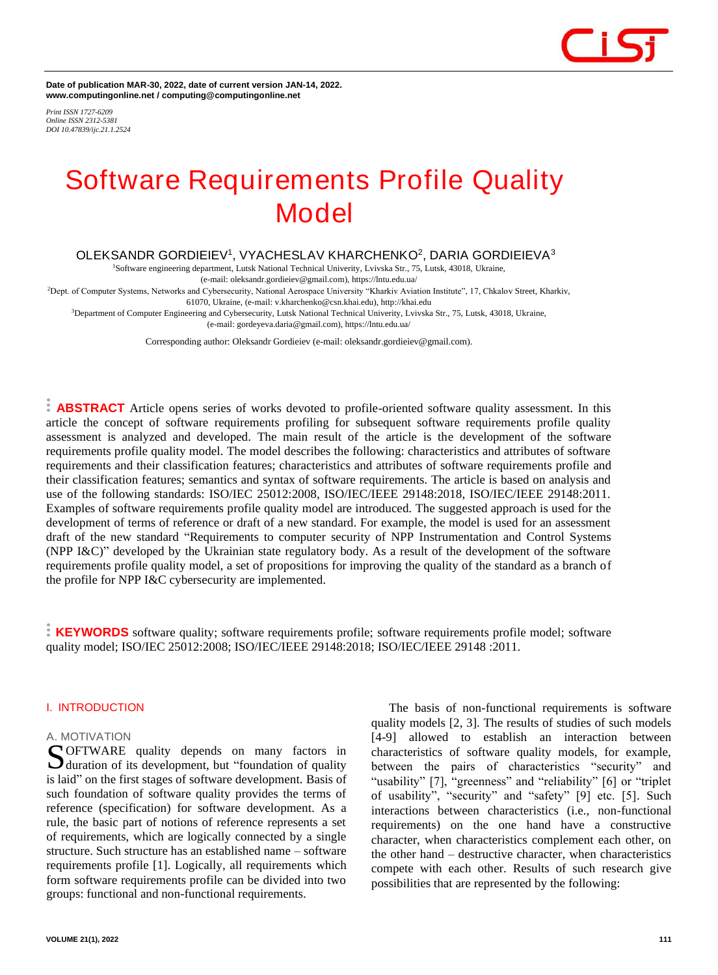**Date of publication MAR-30, 2022, date of current version JAN-14, 2022. www.computingonline.net / computing@computingonline.net**

*Print ISSN 1727-6209 Online ISSN 2312-5381 DOI 10.47839/ijc.21.1.2524*

## **Software Requirements Profile Quality Model**

### **OLEKSANDR GORDIEIEV<sup>1</sup> , VYACHESLAV KHARCHENKO<sup>2</sup> , DARIA GORDIEIEVA<sup>3</sup>**

<sup>1</sup>Software engineering department, Lutsk National Technical Univerity, Lvivska Str., 75, Lutsk, 43018, Ukraine,

(e-mail: oleksandr.gordieiev@gmail.com), https://lntu.edu.ua/

<sup>2</sup>Dept. of Computer Systems, Networks and Cybersecurity, National Aerospace University "Kharkiv Aviation Institute", 17, Chkalov Street, Kharkiv, 61070, Ukraine, (e-mail: v.kharchenko@csn.khai.edu), http://khai.edu

<sup>3</sup>Department of Computer Engineering and Cybersecurity, Lutsk National Technical Univerity, Lvivska Str., 75, Lutsk, 43018, Ukraine,

(e-mail: gordeyeva.daria@gmail.com), https://lntu.edu.ua/

Corresponding author: Oleksandr Gordieiev (e-mail: oleksandr.gordieiev@gmail.com).

**ABSTRACT** Article opens series of works devoted to profile-oriented software quality assessment. In this article the concept of software requirements profiling for subsequent software requirements profile quality assessment is analyzed and developed. The main result of the article is the development of the software requirements profile quality model. The model describes the following: characteristics and attributes of software requirements and their classification features; characteristics and attributes of software requirements profile and their classification features; semantics and syntax of software requirements. The article is based on analysis and use of the following standards: ISO/IEC 25012:2008, ISO/IEC/IEEE 29148:2018, ISO/IEC/IEEE 29148:2011. Examples of software requirements profile quality model are introduced. The suggested approach is used for the development of terms of reference or draft of a new standard. For example, the model is used for an assessment draft of the new standard "Requirements to computer security of NPP Instrumentation and Control Systems (NPP I&C)" developed by the Ukrainian state regulatory body. As a result of the development of the software requirements profile quality model, a set of propositions for improving the quality of the standard as a branch of the profile for NPP I&C cybersecurity are implemented.

**KEYWORDS** software quality; software requirements profile; software requirements profile model; software quality model; ISO/IEC 25012:2008; ISO/IEC/IEEE 29148:2018; ISO/IEC/IEEE 29148 :2011.

### **I. INTRODUCTION**

### *A. MOTIVATION*

OFTWARE quality depends on many factors in **S**OFTWARE quality depends on many factors in duration of its development, but "foundation of quality is laid" on the first stages of software development. Basis of such foundation of software quality provides the terms of reference (specification) for software development. As a rule, the basic part of notions of reference represents a set of requirements, which are logically connected by a single structure. Such structure has an established name – software requirements profile [1]. Logically, all requirements which form software requirements profile can be divided into two groups: functional and non-functional requirements.

The basis of non-functional requirements is software quality models [2, 3]. The results of studies of such models [4-9] allowed to establish an interaction between characteristics of software quality models, for example, between the pairs of characteristics "security" and "usability" [7], "greenness" and "reliability" [6] or "triplet of usability", "security" and "safety" [9] etc. [5]. Such interactions between characteristics (i.e., non-functional requirements) on the one hand have a constructive character, when characteristics complement each other, on the other hand – destructive character, when characteristics compete with each other. Results of such research give possibilities that are represented by the following: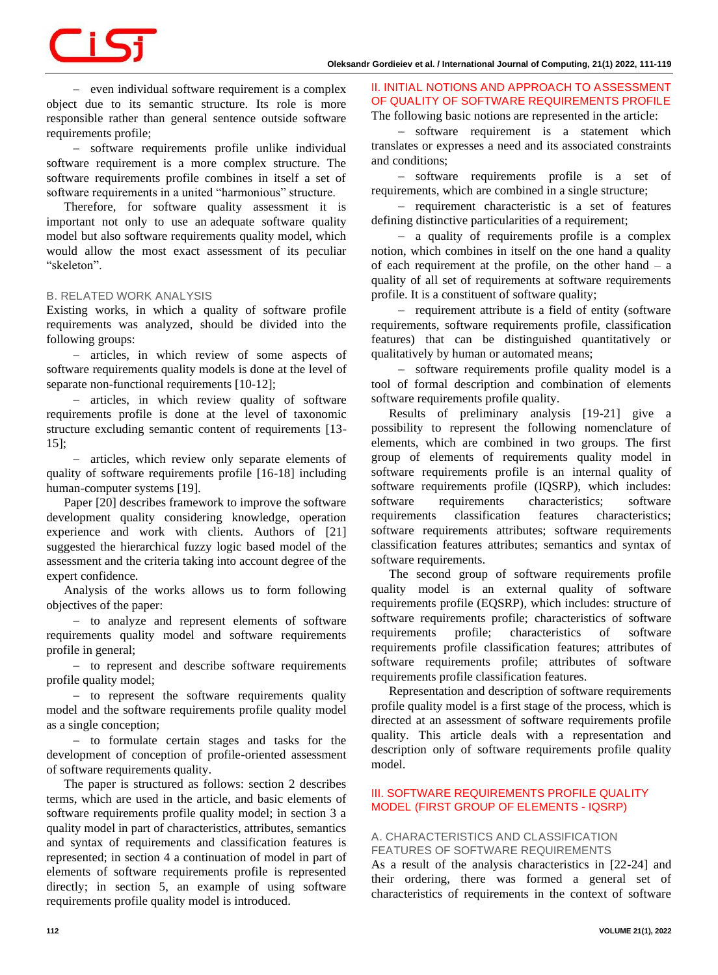# <u>is</u>

− even individual software requirement is a complex object due to its semantic structure. Its role is more responsible rather than general sentence outside software requirements profile;

− software requirements profile unlike individual software requirement is a more complex structure. The software requirements profile combines in itself a set of software requirements in a united "harmonious" structure.

Therefore, for software quality assessment it is important not only to use an adequate software quality model but also software requirements quality model, which would allow the most exact assessment of its peculiar "skeleton".

### *B. RELATED WORK ANALYSIS*

Existing works, in which a quality of software profile requirements was analyzed, should be divided into the following groups:

− articles, in which review of some aspects of software requirements quality models is done at the level of separate non-functional requirements [10-12];

− articles, in which review quality of software requirements profile is done at the level of taxonomic structure excluding semantic content of requirements [13- 15];

− articles, which review only separate elements of quality of software requirements profile [16-18] including human-computer systems [19].

Paper [20] describes framework to improve the software development quality considering knowledge, operation experience and work with clients. Authors of [21] suggested the hierarchical fuzzy logic based model of the assessment and the criteria taking into account degree of the expert confidence.

Analysis of the works allows us to form following objectives of the paper:

− to analyze and represent elements of software requirements quality model and software requirements profile in general;

− to represent and describe software requirements profile quality model;

− to represent the software requirements quality model and the software requirements profile quality model as a single conception;

− to formulate certain stages and tasks for the development of conception of profile-oriented assessment of software requirements quality.

The paper is structured as follows: section 2 describes terms, which are used in the article, and basic elements of software requirements profile quality model; in section 3 a quality model in part of characteristics, attributes, semantics and syntax of requirements and classification features is represented; in section 4 a continuation of model in part of elements of software requirements profile is represented directly; in section 5, an example of using software requirements profile quality model is introduced.

**II. INITIAL NOTIONS AND APPROACH TO ASSESSMENT OF QUALITY OF SOFTWARE REQUIREMENTS PROFILE** 

The following basic notions are represented in the article: − software requirement is a statement which

translates or expresses a need and its associated constraints and conditions;

− software requirements profile is a set of requirements, which are combined in a single structure;

− requirement characteristic is a set of features defining distinctive particularities of a requirement;

− a quality of requirements profile is a complex notion, which combines in itself on the one hand a quality of each requirement at the profile, on the other hand  $-$  a quality of all set of requirements at software requirements profile. It is a constituent of software quality;

− requirement attribute is a field of entity (software requirements, software requirements profile, classification features) that can be distinguished quantitatively or qualitatively by human or automated means;

− software requirements profile quality model is a tool of formal description and combination of elements software requirements profile quality.

Results of preliminary analysis [19-21] give a possibility to represent the following nomenclature of elements, which are combined in two groups. The first group of elements of requirements quality model in software requirements profile is an internal quality of software requirements profile (IQSRP), which includes: software requirements characteristics; software requirements classification features characteristics; software requirements attributes; software requirements classification features attributes; semantics and syntax of software requirements.

The second group of software requirements profile quality model is an external quality of software requirements profile (EQSRP), which includes: structure of software requirements profile; characteristics of software requirements profile; characteristics of software requirements profile classification features; attributes of software requirements profile; attributes of software requirements profile classification features.

Representation and description of software requirements profile quality model is a first stage of the process, which is directed at an assessment of software requirements profile quality. This article deals with a representation and description only of software requirements profile quality model.

### **III. SOFTWARE REQUIREMENTS PROFILE QUALITY MODEL (FIRST GROUP OF ELEMENTS - IQSRP)**

### *A. CHARACTERISTICS AND CLASSIFICATION FEATURES OF SOFTWARE REQUIREMENTS*

As a result of the analysis characteristics in [22-24] and their ordering, there was formed a general set of characteristics of requirements in the context of software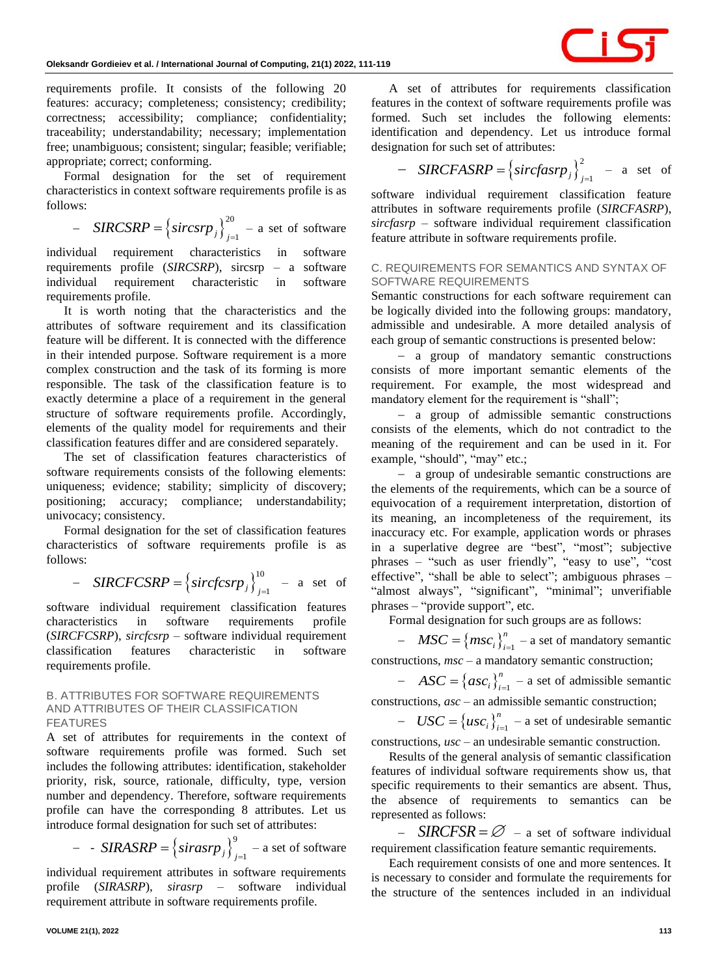requirements profile. It consists of the following 20 features: accuracy; completeness; consistency; credibility; correctness; accessibility; compliance; confidentiality; traceability; understandability; necessary; implementation free; unambiguous; consistent; singular; feasible; verifiable; appropriate; correct; conforming.

Formal designation for the set of requirement characteristics in context software requirements profile is as follows:

- 
$$
SIRCSR = \left\{sircsrp_j\right\}_{j=1}^{20}
$$
 - a set of software

individual requirement characteristics in software requirements profile (*SIRCSRP*), sircsrp – a software individual requirement characteristic in software requirements profile.

It is worth noting that the characteristics and the attributes of software requirement and its classification feature will be different. It is connected with the difference in their intended purpose. Software requirement is a more complex construction and the task of its forming is more responsible. The task of the classification feature is to exactly determine a place of a requirement in the general structure of software requirements profile. Accordingly, elements of the quality model for requirements and their classification features differ and are considered separately.

The set of classification features characteristics of software requirements consists of the following elements: uniqueness; evidence; stability; simplicity of discovery; positioning; accuracy; compliance; understandability; univocacy; consistency.

Formal designation for the set of classification features characteristics of software requirements profile is as follows:

- *SIRCFCSRP* = 
$$
\left\{ \text{sirc}f\text{csr}p_j \right\}_{j=1}^{10}
$$
 - a set of

software individual requirement classification features characteristics in software requirements profile (*SIRCFCSRP*), *sircfcsrp* – software individual requirement classification features characteristic in software requirements profile.

### *B. ATTRIBUTES FOR SOFTWARE REQUIREMENTS AND ATTRIBUTES OF THEIR CLASSIFICATION FEATURES*

A set of attributes for requirements in the context of software requirements profile was formed. Such set includes the following attributes: identification, stakeholder priority, risk, source, rationale, difficulty, type, version number and dependency. Therefore, software requirements profile can have the corresponding 8 attributes. Let us introduce formal designation for such set of attributes:

- 
$$
SIRASRP = \left\{sirasrp_j\right\}_{j=1}^9
$$
 - a set of software

individual requirement attributes in software requirements profile (*SIRASRP*), *sirasrp* – software individual requirement attribute in software requirements profile.

A set of attributes for requirements classification features in the context of software requirements profile was formed. Such set includes the following elements: identification and dependency. Let us introduce formal designation for such set of attributes:

- *SIRCFASRP* = 
$$
\left\{ \text{sircfasrp}_j \right\}_{j=1}^2
$$
 - a set of

software individual requirement classification feature attributes in software requirements profile (*SIRCFASRP*), *sircfasrp* – software individual requirement classification feature attribute in software requirements profile.

### *C. REQUIREMENTS FOR SEMANTICS AND SYNTAX OF SOFTWARE REQUIREMENTS*

Semantic constructions for each software requirement can be logically divided into the following groups: mandatory, admissible and undesirable. A more detailed analysis of each group of semantic constructions is presented below:

− a group of mandatory semantic constructions consists of more important semantic elements of the requirement. For example, the most widespread and mandatory element for the requirement is "shall";

− a group of admissible semantic constructions consists of the elements, which do not contradict to the meaning of the requirement and can be used in it. For example, "should", "may" etc.;

− a group of undesirable semantic constructions are the elements of the requirements, which can be a source of equivocation of a requirement interpretation, distortion of its meaning, an incompleteness of the requirement, its inaccuracy etc. For example, application words or phrases in a superlative degree are "best", "most"; subjective phrases – "such as user friendly", "easy to use", "cost effective", "shall be able to select"; ambiguous phrases – "almost always", "significant", "minimal"; unverifiable phrases – "provide support", etc.

Formal designation for such groups are as follows:

 $-$  *MSC* = { $msc_i$ } $_{i=1}^n$  – a set of mandatory semantic constructions, *msc –* a mandatory semantic construction;

 $- ASC = \{asc_i\}_{i=1}^n$  $ASC = \{asc_i\}_{i=1}^n$  – a set of admissible semantic

constructions, *asc* – an admissible semantic construction;

 $USC = \{usc_i\}_{i=1}^n$  $USC = \{usc_i\}_{i=1}^n$  – a set of undesirable semantic

constructions, *usc* – an undesirable semantic construction.

Results of the general analysis of semantic classification features of individual software requirements show us, that specific requirements to their semantics are absent. Thus, the absence of requirements to semantics can be represented as follows:

 $SIRCFSR = \varnothing$  – a set of software individual requirement classification feature semantic requirements.

Each requirement consists of one and more sentences. It is necessary to consider and formulate the requirements for the structure of the sentences included in an individual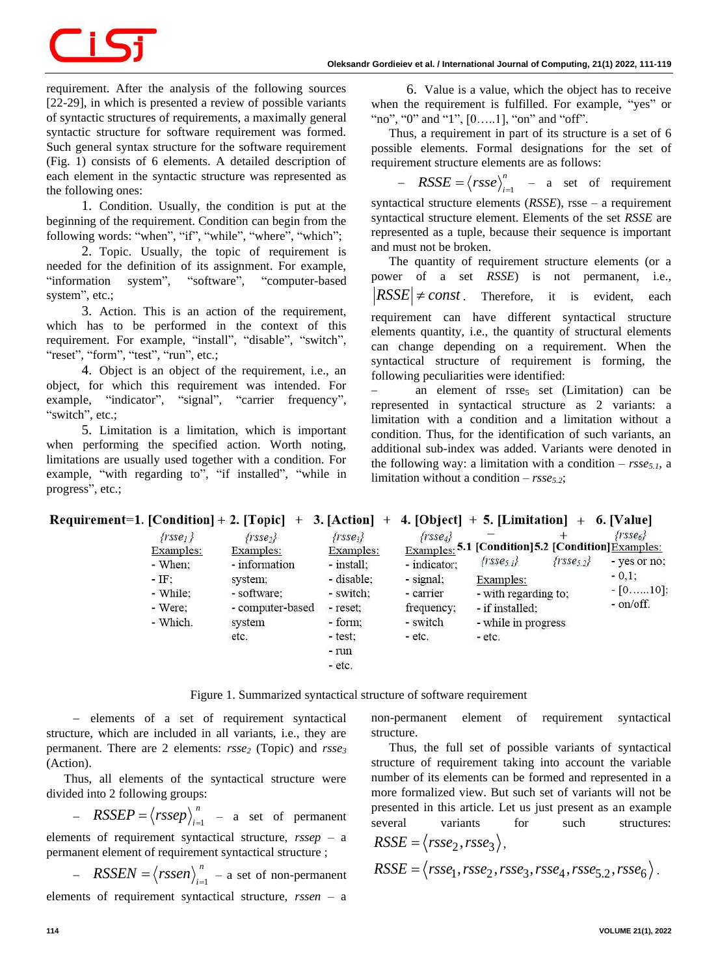requirement. After the analysis of the following sources [22-29], in which is presented a review of possible variants of syntactic structures of requirements, a maximally general syntactic structure for software requirement was formed. Such general syntax structure for the software requirement (Fig. 1) consists of 6 elements. A detailed description of each element in the syntactic structure was represented as the following ones:

1. Condition. Usually, the condition is put at the beginning of the requirement. Condition can begin from the following words: "when", "if", "while", "where", "which";

2. Topic. Usually, the topic of requirement is needed for the definition of its assignment. For example, "information system", "software", "computer-based system", etc.;

3. Action. This is an action of the requirement, which has to be performed in the context of this requirement. For example, "install", "disable", "switch", "reset", "form", "test", "run", etc.;

4. Object is an object of the requirement, i.e., an object, for which this requirement was intended. For example, "indicator", "signal", "carrier frequency", "switch", etc.;

5. Limitation is a limitation, which is important when performing the specified action. Worth noting, limitations are usually used together with a condition. For example, "with regarding to", "if installed", "while in progress", etc.;

6. Value is a value, which the object has to receive when the requirement is fulfilled. For example, "yes" or "no", "0" and "1", [0.....1], "on" and "off".

Thus, a requirement in part of its structure is a set of 6 possible elements. Formal designations for the set of requirement structure elements are as follows:

 $-$  RSSE =  $\langle r s s e \rangle_{i=1}^{n}$ *n*  $RSSE = \langle rsse \rangle_{i=1}^{n}$  – a set of requirement syntactical structure elements (*RSSE*), rsse – a requirement syntactical structure element. Elements of the set *RSSE* are represented as a tuple, because their sequence is important and must not be broken.

The quantity of requirement structure elements (or a power of a set *RSSE*) is not permanent, i.e.,  $RSSE \neq const$ . Therefore, it is evident, each requirement can have different syntactical structure elements quantity, i.e., the quantity of structural elements can change depending on a requirement. When the syntactical structure of requirement is forming, the

following peculiarities were identified: an element of rsse<sub>5</sub> set (Limitation) can be represented in syntactical structure as 2 variants: a limitation with a condition and a limitation without a condition. Thus, for the identification of such variants, an additional sub-index was added. Variants were denoted in the following way: a limitation with a condition –  $r s s e_{5,l}$ , a limitation without a condition – *rsse5.2*;

Requirement=1. [Condition] + 2. [Topic] + 3. [Action] + 4. [Object] + 5. [Limitation] + 6. [Value]

| frsse <sub>1</sub>                                                 | $\{rsse_2\}$                                                                       | $\{rsse_i\}$                                                              | $\{rsse_4\}$                                                     |                                                                                                                                         |                   | $\{rsse_{6}\}$                                                 |
|--------------------------------------------------------------------|------------------------------------------------------------------------------------|---------------------------------------------------------------------------|------------------------------------------------------------------|-----------------------------------------------------------------------------------------------------------------------------------------|-------------------|----------------------------------------------------------------|
| Examples:<br>- When:<br>$-$ IF:<br>- While:<br>- Were:<br>- Which. | Examples:<br>- information<br>system;<br>- software;<br>- computer-based<br>system | Examples:<br>- install:<br>- disable:<br>- switch:<br>- reset:<br>- form; | - indicator;<br>- signal;<br>- carrier<br>frequency;<br>- switch | Examples: 5.1 [Condition] 5.2 [Condition] Examples:<br>$\{r \text{ sse}_{5} \}$<br>Examples:<br>- with regarding to:<br>- if installed: | $\{rsse_{5.2}\}\$ | - yes or no:<br>$-0.1$ :<br>$-[0, \ldots, 10];$<br>$-$ on/off. |
|                                                                    | etc.                                                                               | - test:<br>- run<br>- etc.                                                | $-$ etc.                                                         | - while in progress<br>$-$ etc.                                                                                                         |                   |                                                                |

Figure 1. Summarized syntactical structure of software requirement

− elements of a set of requirement syntactical structure, which are included in all variants, i.e., they are permanent. There are 2 elements: *rsse<sup>2</sup>* (Topic) and *rsse<sup>3</sup>* (Action).

Thus, all elements of the syntactical structure were divided into 2 following groups:

- 
$$
RSSEP = \langle rssep \rangle_{i=1}^{n}
$$
 - a set of permanent

elements of requirement syntactical structure, *rssep* – a permanent element of requirement syntactical structure ;

 $-$  RSSEN =  $\langle rssen \rangle_{i=1}$ *n*  $RSSEN = \langle rssen \rangle_{i=1}^{n}$  – a set of non-permanent elements of requirement syntactical structure, *rssen* – a

non-permanent element of requirement syntactical structure.

Thus, the full set of possible variants of syntactical structure of requirement taking into account the variable number of its elements can be formed and represented in a more formalized view. But such set of variants will not be presented in this article. Let us just present as an example several variants for such structures:

$$
RSSE = \langle rsse_2, rsse_3 \rangle,
$$
  
\n
$$
RSSE = \langle rsse_1, rsse_2, rsse_3, rsse_4, rsse_{5.2}, rsse_6 \rangle.
$$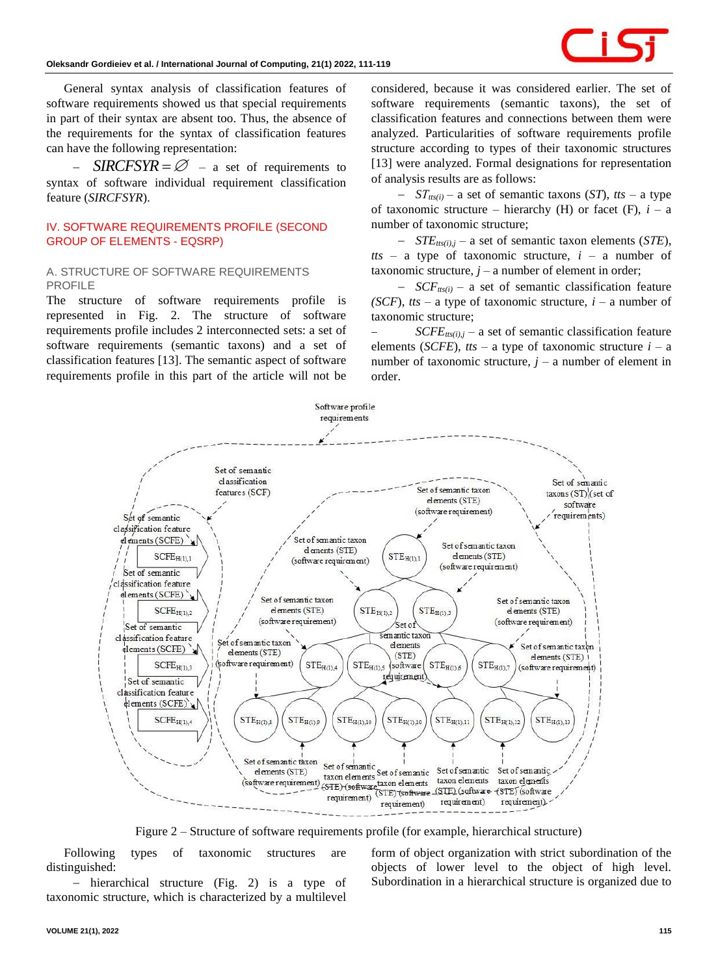

General syntax analysis of classification features of software requirements showed us that special requirements in part of their syntax are absent too. Thus, the absence of the requirements for the syntax of classification features can have the following representation:

 $SIRCFSYR = \emptyset$  – a set of requirements to syntax of software individual requirement classification feature (*SIRCFSYR*).

### **IV. SOFTWARE REQUIREMENTS PROFILE (SECOND GROUP OF ELEMENTS - EQSRP)**

### *A. STRUCTURE OF SOFTWARE REQUIREMENTS PROFILE*

The structure of software requirements profile is represented in Fig. 2. The structure of software requirements profile includes 2 interconnected sets: a set of software requirements (semantic taxons) and a set of classification features [13]. The semantic aspect of software requirements profile in this part of the article will not be

considered, because it was considered earlier. The set of software requirements (semantic taxons), the set of classification features and connections between them were analyzed. Particularities of software requirements profile structure according to types of their taxonomic structures [13] were analyzed. Formal designations for representation of analysis results are as follows:

− *SТtts(i) –* a set of semantic taxons (*ST*), *tts* – a type of taxonomic structure – hierarchy (H) or facet (F),  $i - a$ number of taxonomic structure;

− *STEtts(i),j* – a set of semantic taxon elements (*SТE*),  $t$ ts – a type of taxonomic structure,  $i$  – a number of taxonomic structure,  $j - a$  number of element in order;

− *SCFtts(i)* – a set of semantic classification feature *(SCF)*, *tts* – a type of taxonomic structure,  $i - a$  number of taxonomic structure;

 $SCFE_{tts(i),j}$  – a set of semantic classification feature elements (*SCFE*), *tts* – a type of taxonomic structure  $i - a$ number of taxonomic structure,  $j - a$  number of element in order.



Figure 2 – Structure of software requirements profile (for example, hierarchical structure)

Following types of taxonomic structures are distinguished:

hierarchical structure (Fig. 2) is a type of taxonomic structure, which is characterized by a multilevel form of object organization with strict subordination of the objects of lower level to the object of high level. Subordination in a hierarchical structure is organized due to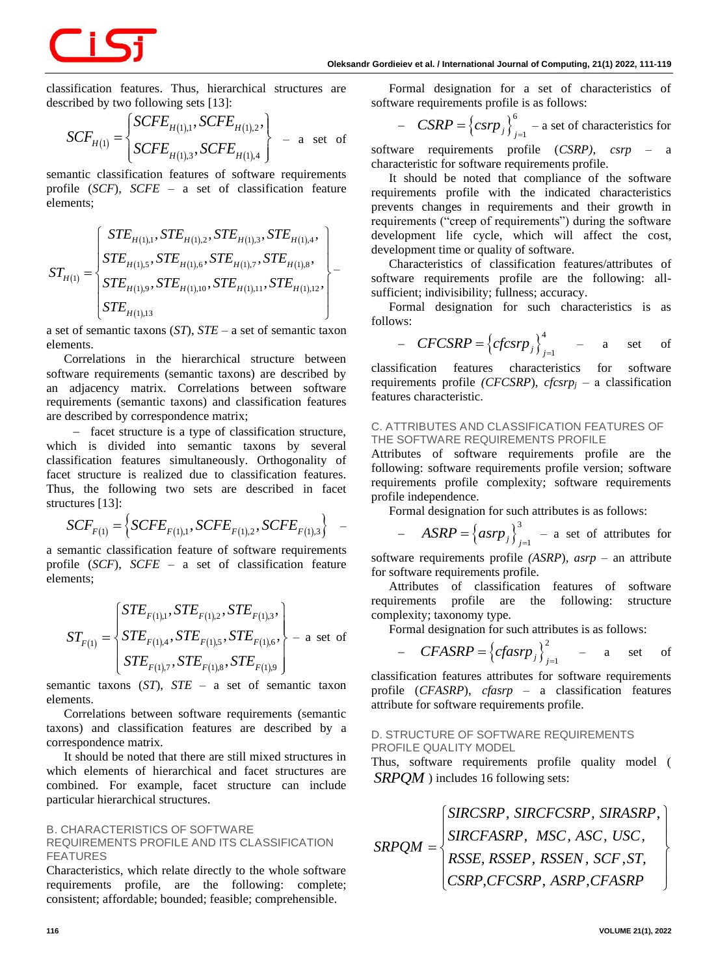

classification features. Thus, hierarchical structures are

described by two following sets [13]:  
\n
$$
SCF_{H(1)} = \begin{cases}\nSCFE_{H(1),1}, SCFE_{H(1),2}, \\
SCFE_{H(1),3}, SCFE_{H(1),4}\n\end{cases}
$$
 = a set of

semantic classification features of software requirements profile (*SCF*), *SCFE –* a set of classification feature elements;

elements; 
$$
ST_{H(1)} = \begin{cases} \nSTE_{H(1),1}, STE_{H(1),2},STE_{H(1),3},STE_{H(1),4}, \\
\nSTE_{H(1),5},STE_{H(1),6},STE_{H(1),7},STE_{H(1),8}, \\
\nSTE_{H(1),9},STE_{H(1),10},STE_{H(1),11},STE_{H(1),12},\n\end{cases} \qquad \qquad \sum_{i=1}^{1}
$$

a set of semantic taxons (*ST*), *STE* – a set of semantic taxon elements.

Correlations in the hierarchical structure between software requirements (semantic taxons) are described by an adjacency matrix. Correlations between software requirements (semantic taxons) and classification features are described by correspondence matrix;

− facet structure is a type of classification structure, which is divided into semantic taxons by several classification features simultaneously. Orthogonality of facet structure is realized due to classification features. Thus, the following two sets are described in facet structures [13]:

ctures [13]:  
\n
$$
SCF_{F(1)} = \left\{SCFE_{F(1),1}, SCFE_{F(1),2}, SCFE_{F(1),3} \right\} -
$$

a semantic classification feature of software requirements profile (*SCF*), *SCFE –* a set of classification feature elements;

$$
ST_{F(1)} = \left\{ \begin{aligned} STE_{F(1),1}, STE_{F(1),2}, STE_{F(1),3}, \\ STE_{F(1),4}, STE_{F(1),5}, STE_{F(1),6}, \\ STE_{F(1),7}, STE_{F(1),8}, STE_{F(1),9} \end{aligned} \right\} - a \text{ set of}
$$

semantic taxons (*ST*), *STE* – a set of semantic taxon elements.

Correlations between software requirements (semantic taxons) and classification features are described by a correspondence matrix.

It should be noted that there are still mixed structures in which elements of hierarchical and facet structures are combined. For example, facet structure can include particular hierarchical structures.

### *B. CHARACTERISTICS OF SOFTWARE REQUIREMENTS PROFILE AND ITS CLASSIFICATION FEATURES*

Characteristics, which relate directly to the whole software requirements profile, are the following: complete; consistent; affordable; bounded; feasible; comprehensible.

Formal designation for a set of characteristics of software requirements profile is as follows:

- 
$$
CSRP = \left\{csrp_j\right\}_{j=1}^6
$$
 - a set of characteristics for

software requirements profile (*CSRP)*, *csrp* – a characteristic for software requirements profile.

It should be noted that compliance of the software requirements profile with the indicated characteristics prevents changes in requirements and their growth in requirements ("creep of requirements") during the software development life cycle, which will affect the cost, development time or quality of software.

Characteristics of classification features/attributes of software requirements profile are the following: allsufficient; indivisibility; fullness; accuracy.

Formal designation for such characteristics is as follows:

- 
$$
CFCSRP = \left\{cfcsrp_j\right\}_{j=1}^4
$$
 - a set of

classification features characteristics for software requirements profile *(CFCSRP*), *cfcsrp<sup>j</sup>* – а classification features characteristic.

### *C. ATTRIBUTES AND CLASSIFICATION FEATURES OF THE SOFTWARE REQUIREMENTS PROFILE*

Attributes of software requirements profile are the following: software requirements profile version; software requirements profile complexity; software requirements profile independence.

Formal designation for such attributes is as follows:

- 
$$
ASRP = \left\{asrp_j\right\}_{j=1}^3
$$
 - a set of attributes for

software requirements profile *(ASRP*), *asrp* – an attribute for software requirements profile.

Attributes of classification features of software requirements profile are the following: structure complexity; taxonomy type.

Formal designation for such attributes is as follows:

- 
$$
CFASRP = \left\{cfasrp_j\right\}_{j=1}^2
$$
 - a set of

classification features attributes for software requirements profile (*CFASRP*), *cfasrp* – a classification features attribute for software requirements profile.

### *D. STRUCTURE OF SOFTWARE REQUIREMENTS PROFILE QUALITY MODEL*

Thus, software requirements profile quality model ( *SRPQM* ) includes 16 following sets:

$$
SRPQM = \begin{cases} SIRCSRP, SIRCFCSRP, SIRASRP, \\ SIRCFASRP, MSC, ASC, USC, \\ RSSE, RSSEP, RSSEN, SCF, ST, CSRP, CFRSRP, ASRP, CFASRP \end{cases}
$$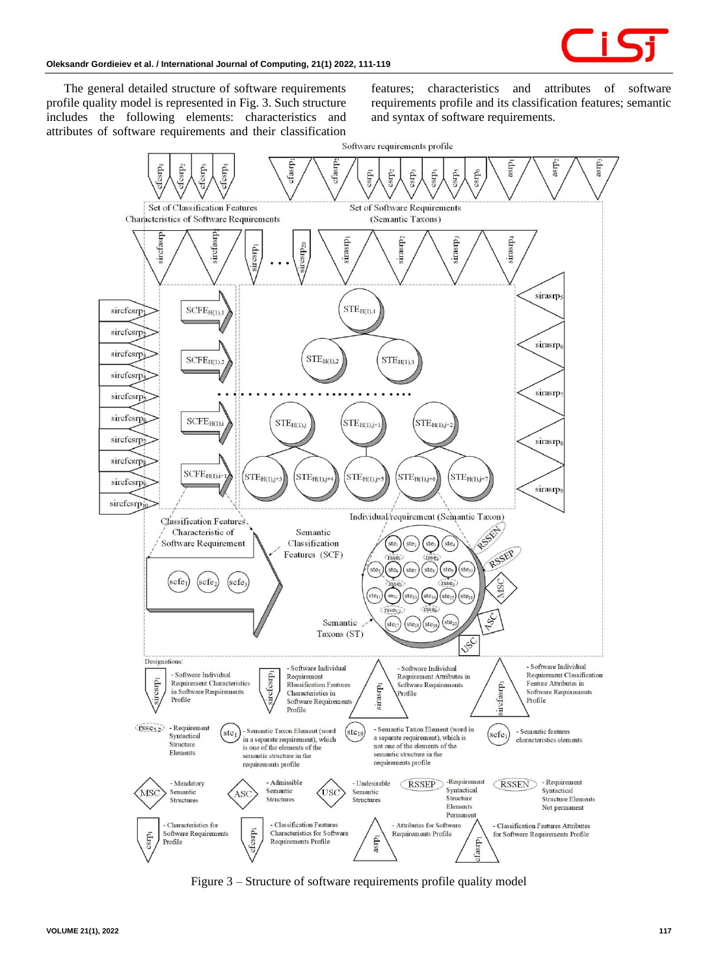

The general detailed structure of software requirements profile quality model is represented in Fig. 3. Such structure includes the following elements: characteristics and attributes of software requirements and their classification features; characteristics and attributes of software requirements profile and its classification features; semantic and syntax of software requirements.



Figure 3 – Structure of software requirements profile quality model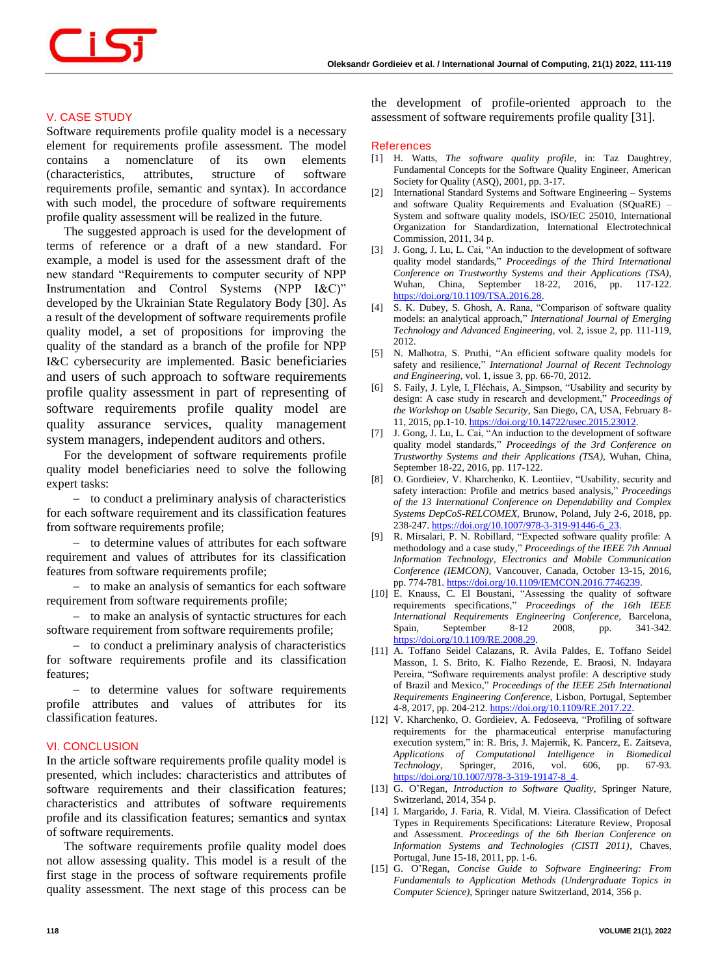### **V. CASE STUDY**

Software requirements profile quality model is a necessary element for requirements profile assessment. The model contains a nomenclature of its own elements (characteristics, attributes, structure of software requirements profile, semantic and syntax). In accordance with such model, the procedure of software requirements profile quality assessment will be realized in the future.

The suggested approach is used for the development of terms of reference or a draft of a new standard. For example, a model is used for the assessment draft of the new standard "Requirements to computer security of NPP Instrumentation and Control Systems (NPP I&C)" developed by the Ukrainian State Regulatory Body [30]. As a result of the development of software requirements profile quality model, a set of propositions for improving the quality of the standard as a branch of the profile for NPP I&C cybersecurity are implemented. Basic beneficiaries and users of such approach to software requirements profile quality assessment in part of representing of software requirements profile quality model are quality assurance services, quality management system managers, independent auditors and others.

For the development of software requirements profile quality model beneficiaries need to solve the following expert tasks:

− to conduct a preliminary analysis of characteristics for each software requirement and its classification features from software requirements profile;

− to determine values of attributes for each software requirement and values of attributes for its classification features from software requirements profile;

− to make an analysis of semantics for each software requirement from software requirements profile;

− to make an analysis of syntactic structures for each software requirement from software requirements profile;

− to conduct a preliminary analysis of characteristics for software requirements profile and its classification features;

− to determine values for software requirements profile attributes and values of attributes for its classification features.

### **VI. CONCLUSION**

In the article software requirements profile quality model is presented, which includes: characteristics and attributes of software requirements and their classification features; characteristics and attributes of software requirements profile and its classification features; semantic**s** and syntax of software requirements.

The software requirements profile quality model does not allow assessing quality. This model is a result of the first stage in the process of software requirements profile quality assessment. The next stage of this process can be the development of profile-oriented approach to the assessment of software requirements profile quality [31].

### **References**

- [1] H. Watts, *The software quality profile*, in: Taz Daughtrey, Fundamental Concepts for the Software Quality Engineer, American Society for Quality (ASQ), 2001, pp. 3-17.
- [2] International Standard Systems and Software Engineering Systems and software Quality Requirements and Evaluation (SQuaRE) – System and software quality models, ISO/IEC 25010, International Organization for Standardization, International Electrotechnical Commission, 2011, 34 p.
- [3] J. Gong, J. Lu, L. Cai, "An induction to the development of software quality model standards," *Proceedings of the Third International Conference on Trustworthy Systems and their Applications (TSA)*, Wuhan, China, September 18-22, 2016, pp. 117-122. [https://doi.org/10.1109/TSA.2016.28.](https://doi.org/10.1109/TSA.2016.28)
- [4] S. K. Dubey, S. Ghosh, A. Rana, "Comparison of software quality models: an analytical approach," *International Journal of Emerging Technology and Advanced Engineering*, vol. 2, issue 2, pp. 111-119, 2012.
- [5] N. Malhotra, S. Pruthi, "An efficient software quality models for safety and resilience," *International Journal of Recent Technology and Engineering*, vol. 1, issue 3, pp. 66-70, 2012.
- [6] S. Faily, J. Lyle, I. Fléchais, A. Simpson, "Usability and security by design: A case study in research and development," *Proceedings of the Workshop on Usable Security*, San Diego, CA, USA, February 8- 11, 2015, pp.1-10. [https://doi.org/10.14722/usec.2015.23012.](https://doi.org/10.14722/usec.2015.23012)
- [7] J. Gong, J. Lu, L. Cai, "An induction to the development of software quality model standards," *Proceedings of the 3rd Conference on Trustworthy Systems and their Applications (TSA)*, Wuhan, China, September 18-22, 2016, pp. 117-122.
- [8] O. Gordieiev, V. Kharchenko, K. Leontiiev, "Usability, security and safety interaction: Profile and metrics based analysis," *Proceedings of the 13 International Conference on Dependability and Complex Systems DepCoS-RELCOMEX*, Brunow, Poland, July 2-6, 2018, pp. 238-247. [https://doi.org/10.1007/978-3-319-91446-6\\_23.](https://doi.org/10.1007/978-3-319-91446-6_23)
- [9] R. Mirsalari, P. N. Robillard, "Expected software quality profile: A methodology and a case study," *Proceedings of the IEEE 7th Annual Information Technology, Electronics and Mobile Communication Conference (IEMCON),* Vancouver, Canada, October 13-15, 2016, pp. 774-781. [https://doi.org/10.1109/IEMCON.2016.7746239.](https://doi.org/10.1109/IEMCON.2016.7746239)
- [10] E. Knauss, C. El Boustani, "Assessing the quality of software requirements specifications," *Proceedings of the 16th IEEE International Requirements Engineering Conference*, Barcelona, Spain, September 8-12 2008, pp. 341-342. [https://doi.org/10.1109/RE.2008.29.](https://doi.org/10.1109/RE.2008.29)
- [11] A. Toffano Seidel Calazans, R. Avila Paldes, E. Toffano Seidel Masson, I. S. Brito, K. Fialho Rezende, E. Braosi, N. Indayara Pereira, "Software requirements analyst profile: A descriptive study of Brazil and Mexico," *Proceedings of the IEEE 25th International Requirements Engineering Conference,* Lisbon, Portugal, September 4-8, 2017, pp. 204-212. [https://doi.org/10.1109/RE.2017.22.](https://doi.org/10.1109/RE.2017.22)
- [12] V. Kharchenko, O. Gordieiev, A. Fedoseeva, "Profiling of software requirements for the pharmaceutical enterprise manufacturing execution system," in: R. Bris, J. Majernik, K. Pancerz, E. Zaitseva, *Applications of Computational Intelligence in Biomedical Technology*, Springer, 2016, vol. 606, pp. 67-93. [https://doi.org/10.1007/978-3-319-19147-8\\_4.](https://doi.org/10.1007/978-3-319-19147-8_4)
- [13] G. O'Regan, *Introduction to Software Quality*, Springer Nature, Switzerland, 2014, 354 p.
- [14] I. Margarido, J. Faria, R. Vidal, M. Vieira. Classification of Defect Types in Requirements Specifications: Literature Review, Proposal and Assessment. *Proceedings of the 6th Iberian Conference on Information Systems and Technologies (CISTI 2011)*, Chaves, Portugal, June 15-18, 2011, pp. 1-6.
- [15] G. O'Regan, *Concise Guide to Software Engineering: From Fundamentals to Application Methods (Undergraduate Topics in Computer Science),* Springer nature Switzerland, 2014, 356 p.